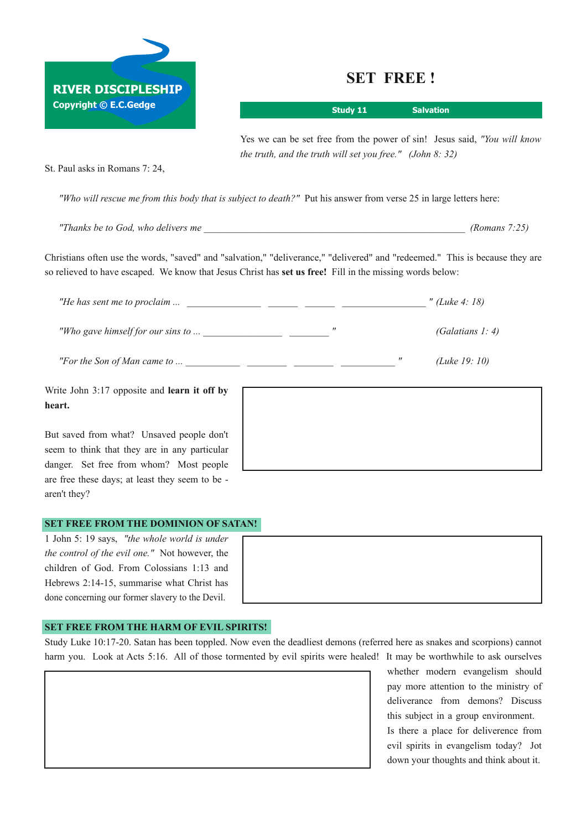| <b>RIVER DISCIPLESHIP</b><br><b>Copyright © E.C.Gedge</b>                                                                                                                                                                                | <b>SET FREE!</b>                                            |                                                                          |  |
|------------------------------------------------------------------------------------------------------------------------------------------------------------------------------------------------------------------------------------------|-------------------------------------------------------------|--------------------------------------------------------------------------|--|
|                                                                                                                                                                                                                                          | Study 11                                                    | <b>Salvation</b>                                                         |  |
|                                                                                                                                                                                                                                          |                                                             | Yes we can be set free from the power of sin! Jesus said, "You will know |  |
| St. Paul asks in Romans 7: 24,                                                                                                                                                                                                           | the truth, and the truth will set you free." $(John 8: 32)$ |                                                                          |  |
| "Who will rescue me from this body that is subject to death?" Put his answer from verse 25 in large letters here:                                                                                                                        |                                                             |                                                                          |  |
| "Thanks be to God, who delivers me                                                                                                                                                                                                       |                                                             | (Romans $7:25$ )                                                         |  |
| Christians often use the words, "saved" and "salvation," "deliverance," "delivered" and "redeemed." This is because they are<br>so relieved to have escaped. We know that Jesus Christ has set us free! Fill in the missing words below: |                                                             |                                                                          |  |
|                                                                                                                                                                                                                                          |                                                             | " (Luke 4: 18)                                                           |  |
| "Who gave himself for our sins to $\frac{1}{1}$                                                                                                                                                                                          |                                                             | (Galatians 1: 4)                                                         |  |
|                                                                                                                                                                                                                                          |                                                             | $\pmb{\mathcal{H}}$<br>(Luke 19: 10)                                     |  |
| Write John 3:17 opposite and learn it off by<br>heart.                                                                                                                                                                                   |                                                             |                                                                          |  |
| But saved from what? Unsaved people don't<br>seem to think that they are in any particular<br>danger. Set free from whom? Most people<br>are free these days; at least they seem to be -<br>aren't they?                                 |                                                             |                                                                          |  |
| SET FREE FROM THE DOMINION OF SATAN!                                                                                                                                                                                                     |                                                             |                                                                          |  |
| 1 John 5: 19 says, "the whole world is under<br>the control of the evil one." Not however, the                                                                                                                                           |                                                             |                                                                          |  |

*the control of the evil one."* Not however, the children of God. From Colossians 1:13 and Hebrews 2:14-15, summarise what Christ has done concerning our former slavery to the Devil.

## **SET FREE FROM THE HARM OF EVIL SPIRITS!**

Study Luke 10:1720. Satan has been toppled. Now even the deadliest demons (referred here as snakes and scorpions) cannot harm you. Look at Acts 5:16. All of those tormented by evil spirits were healed! It may be worthwhile to ask ourselves

whether modern evangelism should pay more attention to the ministry of deliverance from demons? Discuss this subject in a group environment. Is there a place for deliverence from evil spirits in evangelism today? Jot down your thoughts and think about it.